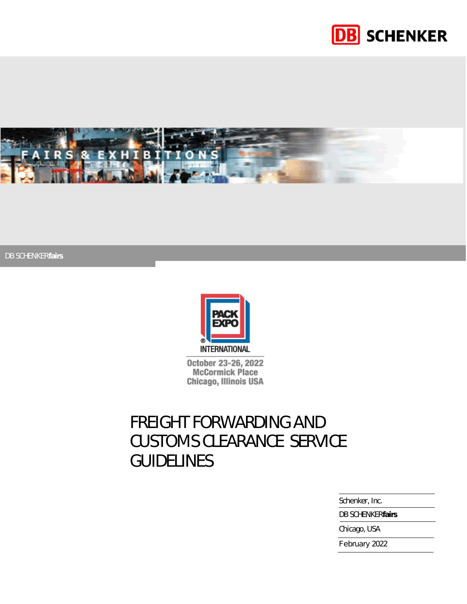



DB SCHENKER*fairs*



October 23-26, 2022 **McCormick Place** Chicago, Illinois USA

# FREIGHT FORWARDING AND CUSTOMS CLEARANCE SERVICE **GUIDELINES**

Schenker, Inc.

DB SCHENKER*fairs*

Chicago, USA

February 2022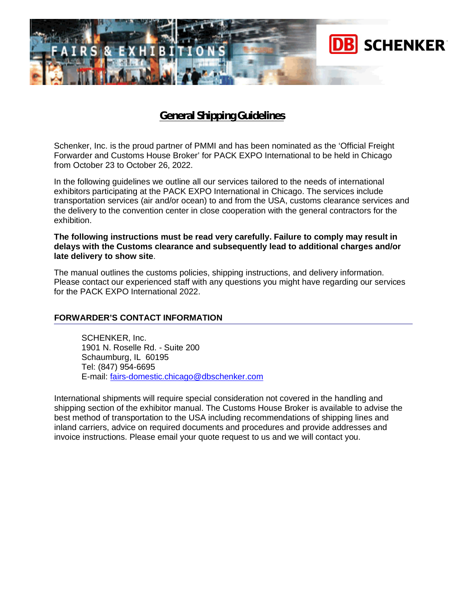

# **General Shipping Guidelines**

Schenker, Inc. is the proud partner of PMMI and has been nominated as the 'Official Freight Forwarder and Customs House Broker' for PACK EXPO International to be held in Chicago from October 23 to October 26, 2022.

In the following guidelines we outline all our services tailored to the needs of international exhibitors participating at the PACK EXPO International in Chicago. The services include transportation services (air and/or ocean) to and from the USA, customs clearance services and the delivery to the convention center in close cooperation with the general contractors for the exhibition.

#### **The following instructions must be read very carefully. Failure to comply may result in delays with the Customs clearance and subsequently lead to additional charges and/or late delivery to show site**.

The manual outlines the customs policies, shipping instructions, and delivery information. Please contact our experienced staff with any questions you might have regarding our services for the PACK EXPO International 2022.

# **FORWARDER'S CONTACT INFORMATION**

SCHENKER, Inc. 1901 N. Roselle Rd. - Suite 200 Schaumburg, IL 60195 Tel: (847) 954-6695 E-mail: [fairs-domestic.chicago@dbschenker.com](mailto:fairs-domestic.chicago@dbschenker.com)

International shipments will require special consideration not covered in the handling and shipping section of the exhibitor manual. The Customs House Broker is available to advise the best method of transportation to the USA including recommendations of shipping lines and inland carriers, advice on required documents and procedures and provide addresses and invoice instructions. Please email your quote request to us and we will contact you.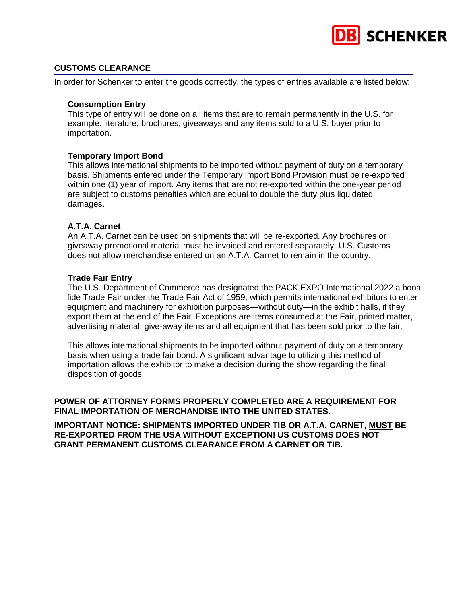

# **CUSTOMS CLEARANCE**

In order for Schenker to enter the goods correctly, the types of entries available are listed below:

#### **Consumption Entry**

This type of entry will be done on all items that are to remain permanently in the U.S. for example: literature, brochures, giveaways and any items sold to a U.S. buyer prior to importation.

# **Temporary Import Bond**

This allows international shipments to be imported without payment of duty on a temporary basis. Shipments entered under the Temporary Import Bond Provision must be re-exported within one (1) year of import. Any items that are not re-exported within the one-year period are subject to customs penalties which are equal to double the duty plus liquidated damages.

# **A.T.A. Carnet**

An A.T.A. Carnet can be used on shipments that will be re-exported. Any brochures or giveaway promotional material must be invoiced and entered separately. U.S. Customs does not allow merchandise entered on an A.T.A. Carnet to remain in the country.

#### **Trade Fair Entry**

The U.S. Department of Commerce has designated the PACK EXPO International 2022 a bona fide Trade Fair under the Trade Fair Act of 1959, which permits international exhibitors to enter equipment and machinery for exhibition purposes—without duty—in the exhibit halls, if they export them at the end of the Fair. Exceptions are items consumed at the Fair, printed matter, advertising material, give-away items and all equipment that has been sold prior to the fair.

This allows international shipments to be imported without payment of duty on a temporary basis when using a trade fair bond. A significant advantage to utilizing this method of importation allows the exhibitor to make a decision during the show regarding the final disposition of goods.

# **POWER OF ATTORNEY FORMS PROPERLY COMPLETED ARE A REQUIREMENT FOR FINAL IMPORTATION OF MERCHANDISE INTO THE UNITED STATES.**

**IMPORTANT NOTICE: SHIPMENTS IMPORTED UNDER TIB OR A.T.A. CARNET, MUST BE RE-EXPORTED FROM THE USA WITHOUT EXCEPTION! US CUSTOMS DOES NOT GRANT PERMANENT CUSTOMS CLEARANCE FROM A CARNET OR TIB.**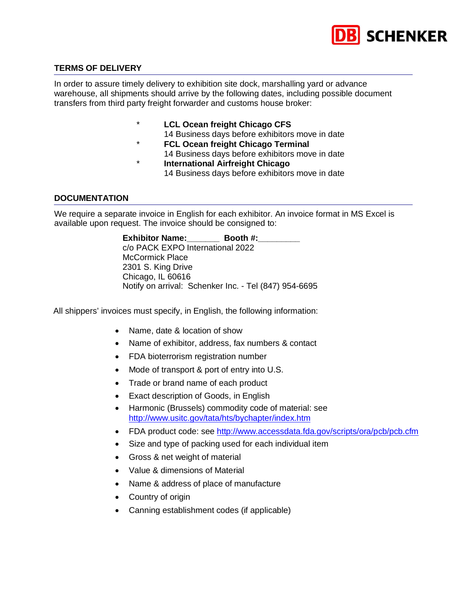

# **TERMS OF DELIVERY**

In order to assure timely delivery to exhibition site dock, marshalling yard or advance warehouse, all shipments should arrive by the following dates, including possible document transfers from third party freight forwarder and customs house broker:

- **LCL Ocean freight Chicago CFS** 
	- 14 Business days before exhibitors move in date
- \* **FCL Ocean freight Chicago Terminal**
	- 14 Business days before exhibitors move in date
- \* **International Airfreight Chicago** 14 Business days before exhibitors move in date

# **DOCUMENTATION**

We require a separate invoice in English for each exhibitor. An invoice format in MS Excel is available upon request. The invoice should be consigned to:

> **Exhibitor Name:** Booth #: c/o PACK EXPO International 2022 McCormick Place 2301 S. King Drive Chicago, IL 60616 Notify on arrival: Schenker Inc. - Tel (847) 954-6695

All shippers' invoices must specify, in English, the following information:

- Name, date & location of show
- Name of exhibitor, address, fax numbers & contact
- FDA bioterrorism registration number
- Mode of transport & port of entry into U.S.
- Trade or brand name of each product
- Exact description of Goods, in English
- Harmonic (Brussels) commodity code of material: see <http://www.usitc.gov/tata/hts/bychapter/index.htm>
- FDA product code: see <http://www.accessdata.fda.gov/scripts/ora/pcb/pcb.cfm>
- Size and type of packing used for each individual item
- Gross & net weight of material
- Value & dimensions of Material
- Name & address of place of manufacture
- Country of origin
- Canning establishment codes (if applicable)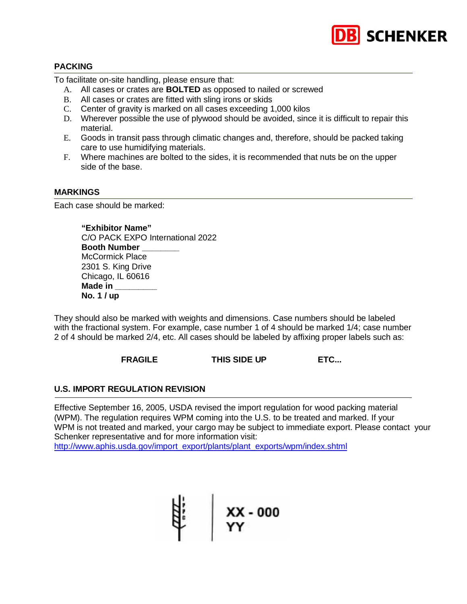

# **PACKING**

To facilitate on-site handling, please ensure that:

- A. All cases or crates are **BOLTED** as opposed to nailed or screwed
- B. All cases or crates are fitted with sling irons or skids
- C. Center of gravity is marked on all cases exceeding 1,000 kilos
- D. Wherever possible the use of plywood should be avoided, since it is difficult to repair this material.
- E. Goods in transit pass through climatic changes and, therefore, should be packed taking care to use humidifying materials.
- F. Where machines are bolted to the sides, it is recommended that nuts be on the upper side of the base.

#### **MARKINGS**

Each case should be marked:

**"Exhibitor Name"** C/O PACK EXPO International 2022 **Booth Number \_\_\_\_\_\_\_\_** McCormick Place 2301 S. King Drive Chicago, IL 60616 **Made in \_\_\_\_\_\_\_\_\_ No. 1 / up**

They should also be marked with weights and dimensions. Case numbers should be labeled with the fractional system. For example, case number 1 of 4 should be marked 1/4; case number 2 of 4 should be marked 2/4, etc. All cases should be labeled by affixing proper labels such as:

**FRAGILE THIS SIDE UP ETC...** 

# **U.S. IMPORT REGULATION REVISION**

Effective September 16, 2005, USDA revised the import regulation for wood packing material (WPM). The regulation requires WPM coming into the U.S. to be treated and marked. If your WPM is not treated and marked, your cargo may be subject to immediate export. Please contact your Schenker representative and for more information visit:

[http://www.aphis.usda.gov/import\\_export/plants/plant\\_exports/wpm/index.shtml](http://www.aphis.usda.gov/import_export/plants/plant_exports/wpm/index.shtml)

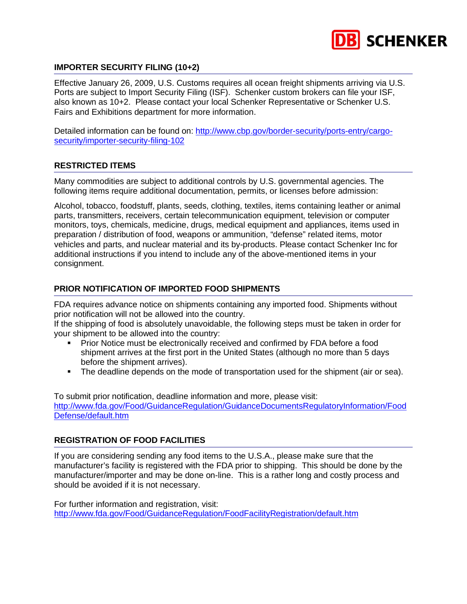

# **IMPORTER SECURITY FILING (10+2)**

Effective January 26, 2009, U.S. Customs requires all ocean freight shipments arriving via U.S. Ports are subject to Import Security Filing (ISF). Schenker custom brokers can file your ISF, also known as 10+2. Please contact your local Schenker Representative or Schenker U.S. Fairs and Exhibitions department for more information.

Detailed information can be found on: [http://www.cbp.gov/border-security/ports-entry/cargo](http://www.cbp.gov/border-security/ports-entry/cargo-security/importer-security-filing-102)[security/importer-security-filing-102](http://www.cbp.gov/border-security/ports-entry/cargo-security/importer-security-filing-102)

# **RESTRICTED ITEMS**

Many commodities are subject to additional controls by U.S. governmental agencies. The following items require additional documentation, permits, or licenses before admission:

Alcohol, tobacco, foodstuff, plants, seeds, clothing, textiles, items containing leather or animal parts, transmitters, receivers, certain telecommunication equipment, television or computer monitors, toys, chemicals, medicine, drugs, medical equipment and appliances, items used in preparation / distribution of food, weapons or ammunition, "defense" related items, motor vehicles and parts, and nuclear material and its by-products. Please contact Schenker Inc for additional instructions if you intend to include any of the above-mentioned items in your consignment.

# **PRIOR NOTIFICATION OF IMPORTED FOOD SHIPMENTS**

FDA requires advance notice on shipments containing any imported food. Shipments without prior notification will not be allowed into the country.

If the shipping of food is absolutely unavoidable, the following steps must be taken in order for your shipment to be allowed into the country:

- **Prior Notice must be electronically received and confirmed by FDA before a food** shipment arrives at the first port in the United States (although no more than 5 days before the shipment arrives).
- The deadline depends on the mode of transportation used for the shipment (air or sea).

To submit prior notification, deadline information and more, please visit: [http://www.fda.gov/Food/GuidanceRegulation/GuidanceDocumentsRegulatoryInformation/Food](http://www.fda.gov/Food/GuidanceRegulation/GuidanceDocumentsRegulatoryInformation/FoodDefense/default.htm) [Defense/default.htm](http://www.fda.gov/Food/GuidanceRegulation/GuidanceDocumentsRegulatoryInformation/FoodDefense/default.htm)

# **REGISTRATION OF FOOD FACILITIES**

If you are considering sending any food items to the U.S.A., please make sure that the manufacturer's facility is registered with the FDA prior to shipping. This should be done by the manufacturer/importer and may be done on-line. This is a rather long and costly process and should be avoided if it is not necessary.

For further information and registration, visit: <http://www.fda.gov/Food/GuidanceRegulation/FoodFacilityRegistration/default.htm>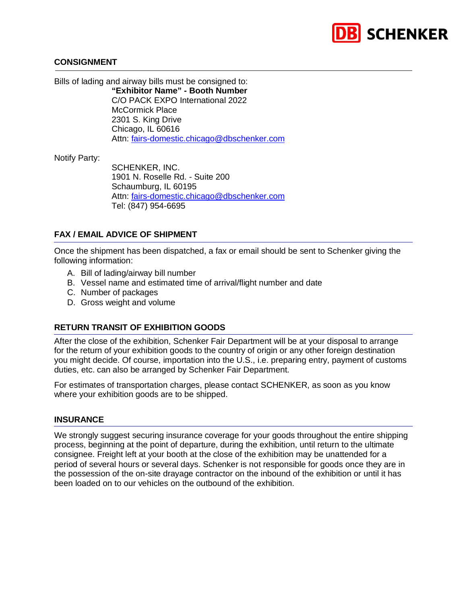

#### **CONSIGNMENT**

Bills of lading and airway bills must be consigned to:

**"Exhibitor Name" - Booth Number** C/O PACK EXPO International 2022 McCormick Place 2301 S. King Drive Chicago, IL 60616 Attn: [fairs-domestic.chicago@dbschenker.com](mailto:fairs-domestic.chicago@dbschenker.com)

Notify Party:

SCHENKER, INC. 1901 N. Roselle Rd. - Suite 200 Schaumburg, IL 60195 Attn: [fairs-domestic.chicago@dbschenker.com](mailto:fairs-domestic.chicago@dbschenker.com) Tel: (847) 954-6695

# **FAX / EMAIL ADVICE OF SHIPMENT**

Once the shipment has been dispatched, a fax or email should be sent to Schenker giving the following information:

- A. Bill of lading/airway bill number
- B. Vessel name and estimated time of arrival/flight number and date
- C. Number of packages
- D. Gross weight and volume

# **RETURN TRANSIT OF EXHIBITION GOODS**

After the close of the exhibition, Schenker Fair Department will be at your disposal to arrange for the return of your exhibition goods to the country of origin or any other foreign destination you might decide. Of course, importation into the U.S., i.e. preparing entry, payment of customs duties, etc. can also be arranged by Schenker Fair Department.

For estimates of transportation charges, please contact SCHENKER, as soon as you know where your exhibition goods are to be shipped.

#### **INSURANCE**

We strongly suggest securing insurance coverage for your goods throughout the entire shipping process, beginning at the point of departure, during the exhibition, until return to the ultimate consignee. Freight left at your booth at the close of the exhibition may be unattended for a period of several hours or several days. Schenker is not responsible for goods once they are in the possession of the on-site drayage contractor on the inbound of the exhibition or until it has been loaded on to our vehicles on the outbound of the exhibition.